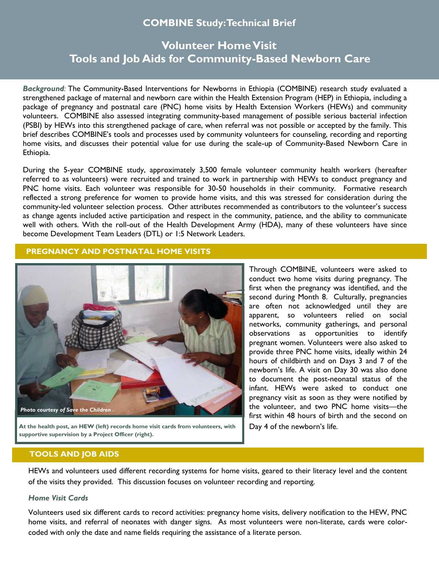# **COMBINE Study: Technical Brief**

# **Volunteer Home Visit Tools and Job Aids for Community-Based Newborn Care**

*Background:* The Community-Based Interventions for Newborns in Ethiopia (COMBINE) research study evaluated a strengthened package of maternal and newborn care within the Health Extension Program (HEP) in Ethiopia, including a package of pregnancy and postnatal care (PNC) home visits by Health Extension Workers (HEWs) and community volunteers. COMBINE also assessed integrating community-based management of possible serious bacterial infection (PSBI) by HEWs into this strengthened package of care, when referral was not possible or accepted by the family. This brief describes COMBINE's tools and processes used by community volunteers for counseling, recording and reporting home visits, and discusses their potential value for use during the scale-up of Community-Based Newborn Care in Ethiopia.

During the 5-year COMBINE study, approximately 3,500 female volunteer community health workers (hereafter referred to as volunteers) were recruited and trained to work in partnership with HEWs to conduct pregnancy and PNC home visits. Each volunteer was responsible for 30-50 households in their community. Formative research reflected a strong preference for women to provide home visits, and this was stressed for consideration during the community-led volunteer selection process. Other attributes recommended as contributors to the volunteer's success as change agents included active participation and respect in the community, patience, and the ability to communicate well with others. With the roll-out of the Health Development Army (HDA), many of these volunteers have since become Development Team Leaders (DTL) or 1:5 Network Leaders.

## **PREGNANCY AND POSTNATAL HOME VISITS**



**At the health post, an HEW (left) records home visit cards from volunteers, with supportive supervision by a Project Officer (right).**

Through COMBINE, volunteers were asked to conduct two home visits during pregnancy. The first when the pregnancy was identified, and the second during Month 8. Culturally, pregnancies are often not acknowledged until they are apparent, so volunteers relied on social networks, community gatherings, and personal observations as opportunities to identify pregnant women. Volunteers were also asked to provide three PNC home visits, ideally within 24 hours of childbirth and on Days 3 and 7 of the newborn's life. A visit on Day 30 was also done to document the post-neonatal status of the infant. HEWs were asked to conduct one pregnancy visit as soon as they were notified by the volunteer, and two PNC home visits—the first within 48 hours of birth and the second on Day 4 of the newborn's life.

### **TOOLS AND JOB AIDS**

HEWs and volunteers used different recording systems for home visits, geared to their literacy level and the content of the visits they provided. This discussion focuses on volunteer recording and reporting.

#### *Home Visit Cards*

Volunteers used six different cards to record activities: pregnancy home visits, delivery notification to the HEW, PNC home visits, and referral of neonates with danger signs. As most volunteers were non-literate, cards were colorcoded with only the date and name fields requiring the assistance of a literate person.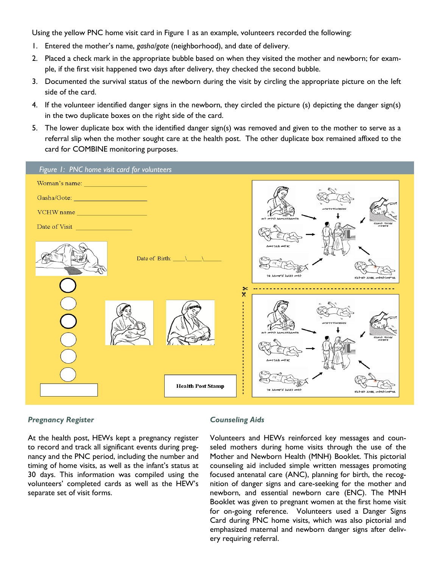Using the yellow PNC home visit card in Figure 1 as an example, volunteers recorded the following:

- 1. Entered the mother's name, *gasha/gote* (neighborhood), and date of delivery.
- 2. Placed a check mark in the appropriate bubble based on when they visited the mother and newborn; for example, if the first visit happened two days after delivery, they checked the second bubble.
- 3. Documented the survival status of the newborn during the visit by circling the appropriate picture on the left side of the card.
- 4. If the volunteer identified danger signs in the newborn, they circled the picture (s) depicting the danger sign(s) in the two duplicate boxes on the right side of the card.
- 5. The lower duplicate box with the identified danger sign(s) was removed and given to the mother to serve as a referral slip when the mother sought care at the health post. The other duplicate box remained affixed to the card for COMBINE monitoring purposes.



#### *Pregnancy Register*

At the health post, HEWs kept a pregnancy register to record and track all significant events during pregnancy and the PNC period, including the number and timing of home visits, as well as the infant's status at 30 days. This information was compiled using the volunteers' completed cards as well as the HEW's separate set of visit forms.

#### *Counseling Aids*

Volunteers and HEWs reinforced key messages and counseled mothers during home visits through the use of the Mother and Newborn Health (MNH) Booklet. This pictorial counseling aid included simple written messages promoting focused antenatal care (ANC), planning for birth, the recognition of danger signs and care-seeking for the mother and newborn, and essential newborn care (ENC). The MNH Booklet was given to pregnant women at the first home visit for on-going reference. Volunteers used a Danger Signs Card during PNC home visits, which was also pictorial and emphasized maternal and newborn danger signs after delivery requiring referral.